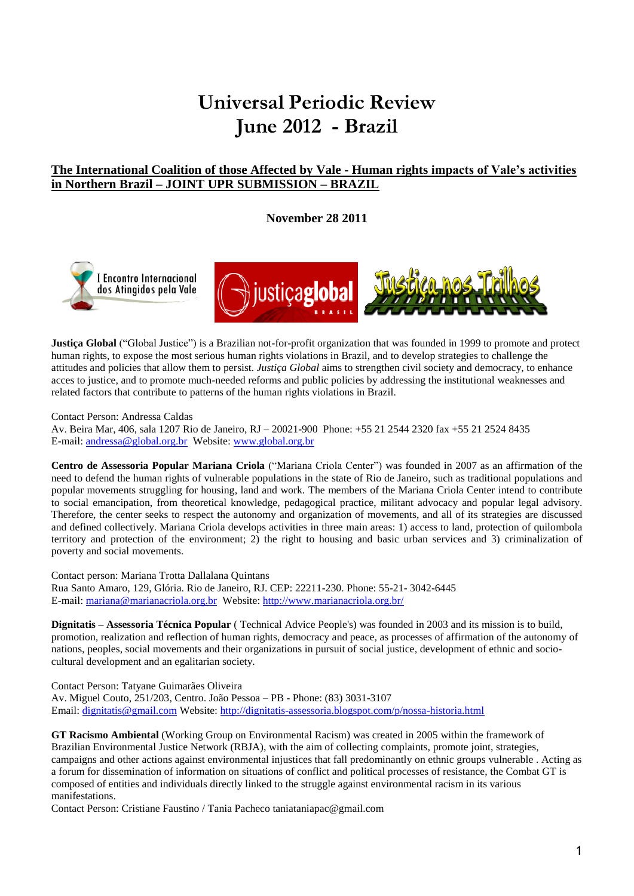# **Universal Periodic Review June 2012 - Brazil**

# **The International Coalition of those Affected by Vale - Human rights impacts of Vale's activities in Northern Brazil – JOINT UPR SUBMISSION – BRAZIL**

**November 28 2011**





**Justiça Global** ("Global Justice") is a Brazilian not-for-profit organization that was founded in 1999 to promote and protect human rights, to expose the most serious human rights violations in Brazil, and to develop strategies to challenge the attitudes and policies that allow them to persist. *Justiça Global* aims to strengthen civil society and democracy, to enhance acces to justice, and to promote much-needed reforms and public policies by addressing the institutional weaknesses and related factors that contribute to patterns of the human rights violations in Brazil.

Contact Person: Andressa Caldas

Av. Beira Mar, 406, sala 1207 Rio de Janeiro, RJ – 20021-900 Phone: +55 21 2544 2320 fax +55 21 2524 8435 E-mail[: andressa@global.org.br](mailto:andressa@global.org.br) Website: [www.global.org.br](http://www.global.org.br/) 

**Centro de Assessoria Popular Mariana Criola** ("Mariana Criola Center") was founded in 2007 as an affirmation of the need to defend the human rights of vulnerable populations in the state of Rio de Janeiro, such as traditional populations and popular movements struggling for housing, land and work. The members of the Mariana Criola Center intend to contribute to social emancipation, from theoretical knowledge, pedagogical practice, militant advocacy and popular legal advisory. Therefore, the center seeks to respect the autonomy and organization of movements, and all of its strategies are discussed and defined collectively. Mariana Criola develops activities in three main areas: 1) access to land, protection of quilombola territory and protection of the environment; 2) the right to housing and basic urban services and 3) criminalization of poverty and social movements.

Contact person: Mariana Trotta Dallalana Quintans Rua Santo Amaro, 129, Glória. Rio de Janeiro, RJ. CEP: 22211-230. Phone: 55-21- 3042-6445 E-mail[: mariana@marianacriola.org.br](mailto:mariana@marianacriola.org.br) Website:<http://www.marianacriola.org.br/>

**Dignitatis – Assessoria Técnica Popular** ( Technical Advice People's) was founded in 2003 and its mission is to build, promotion, realization and reflection of human rights, democracy and peace, as processes of affirmation of the autonomy of nations, peoples, social movements and their organizations in pursuit of social justice, development of ethnic and sociocultural development and an egalitarian society.

Contact Person: Tatyane Guimarães Oliveira

Av. Miguel Couto, 251/203, Centro. João Pessoa – PB - Phone: (83) 3031-3107 Email: [dignitatis@gmail.com](mailto:dignitatis@gmail.com) Website:<http://dignitatis-assessoria.blogspot.com/p/nossa-historia.html>

**GT Racismo Ambiental** (Working Group on Environmental Racism) was created in 2005 within the framework of Brazilian Environmental Justice Network (RBJA), with the aim of collecting complaints, promote joint, strategies, campaigns and other actions against environmental injustices that fall predominantly on ethnic groups vulnerable . Acting as a forum for dissemination of information on situations of conflict and political processes of resistance, the Combat GT is composed of entities and individuals directly linked to the struggle against environmental racism in its various manifestations.

Contact Person: Cristiane Faustino / Tania Pacheco taniataniapac@gmail.com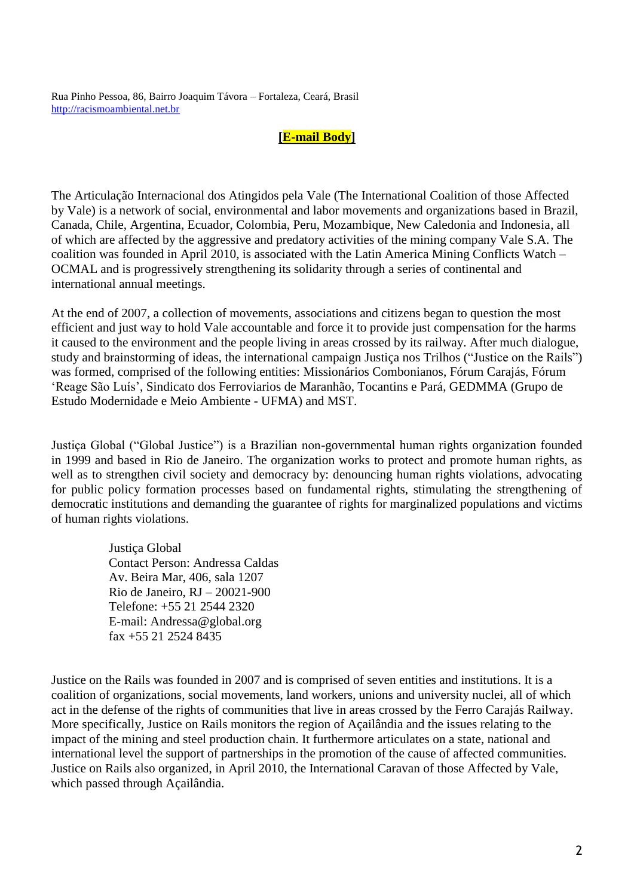Rua Pinho Pessoa, 86, Bairro Joaquim Távora – Fortaleza, Ceará, Brasil [http://racismoambiental.net.br](http://racismoambiental.net.br/)

# **[E-mail Body]**

The Articulação Internacional dos Atingidos pela Vale (The International Coalition of those Affected by Vale) is a network of social, environmental and labor movements and organizations based in Brazil, Canada, Chile, Argentina, Ecuador, Colombia, Peru, Mozambique, New Caledonia and Indonesia, all of which are affected by the aggressive and predatory activities of the mining company Vale S.A. The coalition was founded in April 2010, is associated with the Latin America Mining Conflicts Watch – OCMAL and is progressively strengthening its solidarity through a series of continental and international annual meetings.

At the end of 2007, a collection of movements, associations and citizens began to question the most efficient and just way to hold Vale accountable and force it to provide just compensation for the harms it caused to the environment and the people living in areas crossed by its railway. After much dialogue, study and brainstorming of ideas, the international campaign Justiça nos Trilhos ("Justice on the Rails") was formed, comprised of the following entities: Missionários Combonianos, Fórum Carajás, Fórum "Reage São Luís", Sindicato dos Ferroviarios de Maranhão, Tocantins e Pará, GEDMMA (Grupo de Estudo Modernidade e Meio Ambiente - UFMA) and MST.

Justiça Global ("Global Justice") is a Brazilian non-governmental human rights organization founded in 1999 and based in Rio de Janeiro. The organization works to protect and promote human rights, as well as to strengthen civil society and democracy by: denouncing human rights violations, advocating for public policy formation processes based on fundamental rights, stimulating the strengthening of democratic institutions and demanding the guarantee of rights for marginalized populations and victims of human rights violations.

> Justiça Global Contact Person: Andressa Caldas Av. Beira Mar, 406, sala 1207 Rio de Janeiro, RJ – 20021-900 Telefone: +55 21 2544 2320 E-mail: Andressa@global.org fax +55 21 2524 8435

Justice on the Rails was founded in 2007 and is comprised of seven entities and institutions. It is a coalition of organizations, social movements, land workers, unions and university nuclei, all of which act in the defense of the rights of communities that live in areas crossed by the Ferro Carajás Railway. More specifically, Justice on Rails monitors the region of Açailândia and the issues relating to the impact of the mining and steel production chain. It furthermore articulates on a state, national and international level the support of partnerships in the promotion of the cause of affected communities. Justice on Rails also organized, in April 2010, the International Caravan of those Affected by Vale, which passed through Açailândia.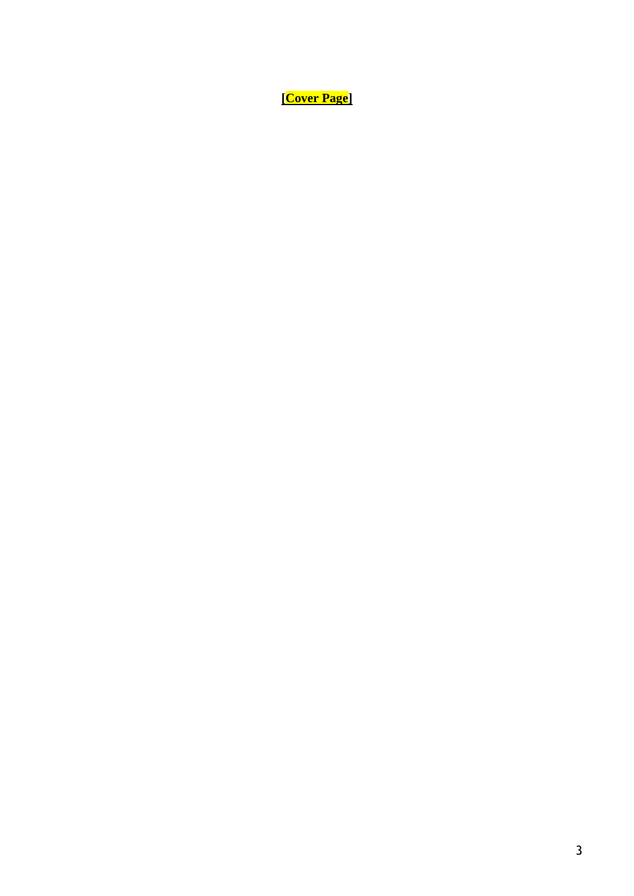**[Cover Page]**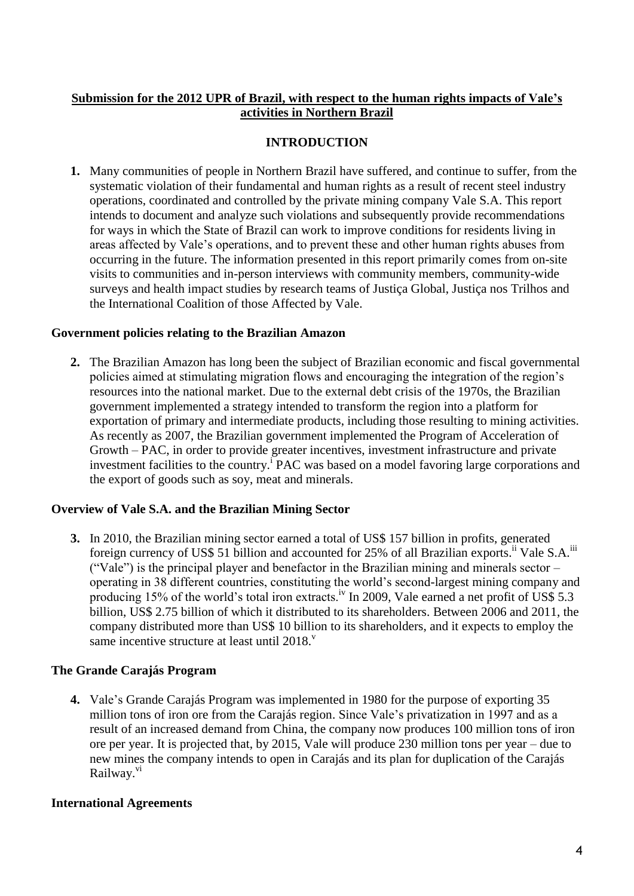# **Submission for the 2012 UPR of Brazil, with respect to the human rights impacts of Vale's activities in Northern Brazil**

# **INTRODUCTION**

**1.** Many communities of people in Northern Brazil have suffered, and continue to suffer, from the systematic violation of their fundamental and human rights as a result of recent steel industry operations, coordinated and controlled by the private mining company Vale S.A. This report intends to document and analyze such violations and subsequently provide recommendations for ways in which the State of Brazil can work to improve conditions for residents living in areas affected by Vale"s operations, and to prevent these and other human rights abuses from occurring in the future. The information presented in this report primarily comes from on-site visits to communities and in-person interviews with community members, community-wide surveys and health impact studies by research teams of Justiça Global, Justiça nos Trilhos and the International Coalition of those Affected by Vale.

# **Government policies relating to the Brazilian Amazon**

**2.** The Brazilian Amazon has long been the subject of Brazilian economic and fiscal governmental policies aimed at stimulating migration flows and encouraging the integration of the region"s resources into the national market. Due to the external debt crisis of the 1970s, the Brazilian government implemented a strategy intended to transform the region into a platform for exportation of primary and intermediate products, including those resulting to mining activities. As recently as 2007, the Brazilian government implemented the Program of Acceleration of Growth – PAC, in order to provide greater incentives, investment infrastructure and private investment facilities to the country.<sup>1</sup> PAC was based on a model favoring large corporations and the export of goods such as soy, meat and minerals.

# **Overview of Vale S.A. and the Brazilian Mining Sector**

**3.** In 2010, the Brazilian mining sector earned a total of US\$ 157 billion in profits, generated foreign currency of US\$ 51 billion and accounted for 25% of all Brazilian exports.<sup>ii</sup> Vale S.A.<sup>iii</sup> ("Vale") is the principal player and benefactor in the Brazilian mining and minerals sector – operating in 38 different countries, constituting the world"s second-largest mining company and producing 15% of the world's total iron extracts.<sup>iv</sup> In 2009, Vale earned a net profit of US\$ 5.3 billion, US\$ 2.75 billion of which it distributed to its shareholders. Between 2006 and 2011, the company distributed more than US\$ 10 billion to its shareholders, and it expects to employ the same incentive structure at least until  $2018$ .

# **The Grande Carajás Program**

**4.** Vale"s Grande Carajás Program was implemented in 1980 for the purpose of exporting 35 million tons of iron ore from the Carajás region. Since Vale"s privatization in 1997 and as a result of an increased demand from China, the company now produces 100 million tons of iron ore per year. It is projected that, by 2015, Vale will produce 230 million tons per year – due to new mines the company intends to open in Carajás and its plan for duplication of the Carajás Railway.<sup>vi</sup>

# **International Agreements**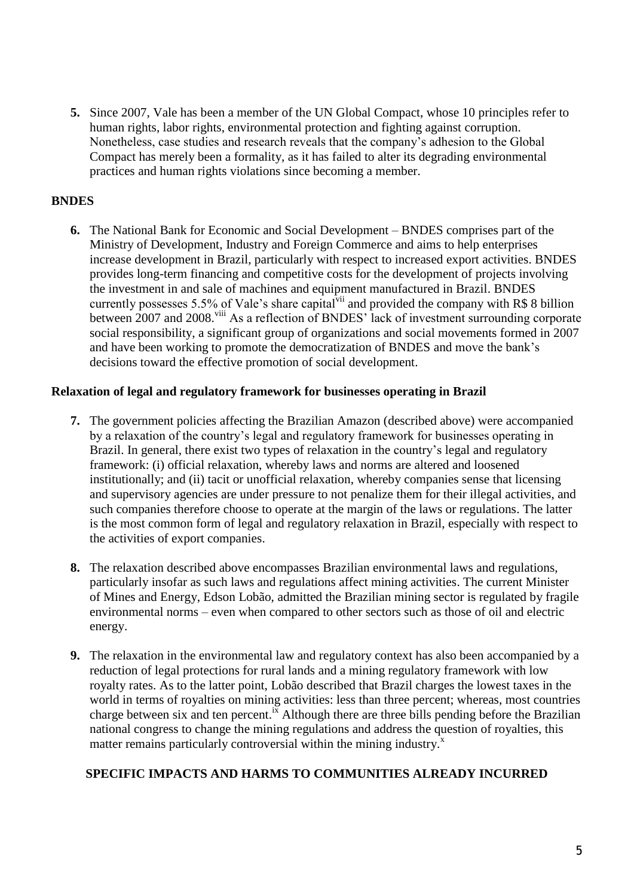**5.** Since 2007, Vale has been a member of the UN Global Compact, whose 10 principles refer to human rights, labor rights, environmental protection and fighting against corruption. Nonetheless, case studies and research reveals that the company"s adhesion to the Global Compact has merely been a formality, as it has failed to alter its degrading environmental practices and human rights violations since becoming a member.

# **BNDES**

**6.** The National Bank for Economic and Social Development – BNDES comprises part of the Ministry of Development, Industry and Foreign Commerce and aims to help enterprises increase development in Brazil, particularly with respect to increased export activities. BNDES provides long-term financing and competitive costs for the development of projects involving the investment in and sale of machines and equipment manufactured in Brazil. BNDES currently possesses 5.5% of Vale's share capital<sup>vii</sup> and provided the company with R\$ 8 billion between 2007 and 2008.<sup>viii</sup> As a reflection of BNDES' lack of investment surrounding corporate social responsibility, a significant group of organizations and social movements formed in 2007 and have been working to promote the democratization of BNDES and move the bank"s decisions toward the effective promotion of social development.

# **Relaxation of legal and regulatory framework for businesses operating in Brazil**

- **7.** The government policies affecting the Brazilian Amazon (described above) were accompanied by a relaxation of the country"s legal and regulatory framework for businesses operating in Brazil. In general, there exist two types of relaxation in the country's legal and regulatory framework: (i) official relaxation, whereby laws and norms are altered and loosened institutionally; and (ii) tacit or unofficial relaxation, whereby companies sense that licensing and supervisory agencies are under pressure to not penalize them for their illegal activities, and such companies therefore choose to operate at the margin of the laws or regulations. The latter is the most common form of legal and regulatory relaxation in Brazil, especially with respect to the activities of export companies.
- **8.** The relaxation described above encompasses Brazilian environmental laws and regulations, particularly insofar as such laws and regulations affect mining activities. The current Minister of Mines and Energy, Edson Lobão, admitted the Brazilian mining sector is regulated by fragile environmental norms – even when compared to other sectors such as those of oil and electric energy.
- **9.** The relaxation in the environmental law and regulatory context has also been accompanied by a reduction of legal protections for rural lands and a mining regulatory framework with low royalty rates. As to the latter point, Lobão described that Brazil charges the lowest taxes in the world in terms of royalties on mining activities: less than three percent; whereas, most countries charge between six and ten percent.<sup>ix</sup> Although there are three bills pending before the Brazilian national congress to change the mining regulations and address the question of royalties, this matter remains particularly controversial within the mining industry.<sup>x</sup>

# **SPECIFIC IMPACTS AND HARMS TO COMMUNITIES ALREADY INCURRED**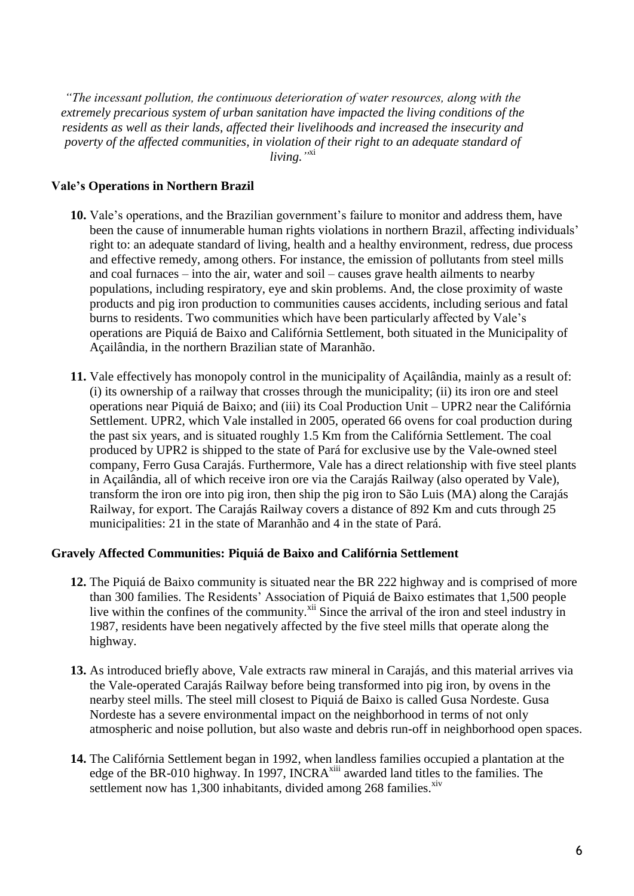*"The incessant pollution, the continuous deterioration of water resources, along with the extremely precarious system of urban sanitation have impacted the living conditions of the residents as well as their lands, affected their livelihoods and increased the insecurity and poverty of the affected communities, in violation of their right to an adequate standard of living."* xi

# **Vale's Operations in Northern Brazil**

- 10. Vale's operations, and the Brazilian government's failure to monitor and address them, have been the cause of innumerable human rights violations in northern Brazil, affecting individuals' right to: an adequate standard of living, health and a healthy environment, redress, due process and effective remedy, among others. For instance, the emission of pollutants from steel mills and coal furnaces – into the air, water and soil – causes grave health ailments to nearby populations, including respiratory, eye and skin problems. And, the close proximity of waste products and pig iron production to communities causes accidents, including serious and fatal burns to residents. Two communities which have been particularly affected by Vale"s operations are Piquiá de Baixo and Califórnia Settlement, both situated in the Municipality of Açailândia, in the northern Brazilian state of Maranhão.
- **11.** Vale effectively has monopoly control in the municipality of Açailândia, mainly as a result of: (i) its ownership of a railway that crosses through the municipality; (ii) its iron ore and steel operations near Piquiá de Baixo; and (iii) its Coal Production Unit – UPR2 near the Califórnia Settlement. UPR2, which Vale installed in 2005, operated 66 ovens for coal production during the past six years, and is situated roughly 1.5 Km from the Califórnia Settlement. The coal produced by UPR2 is shipped to the state of Pará for exclusive use by the Vale-owned steel company, Ferro Gusa Carajás. Furthermore, Vale has a direct relationship with five steel plants in Açailândia, all of which receive iron ore via the Carajás Railway (also operated by Vale), transform the iron ore into pig iron, then ship the pig iron to São Luis (MA) along the Carajás Railway, for export. The Carajás Railway covers a distance of 892 Km and cuts through 25 municipalities: 21 in the state of Maranhão and 4 in the state of Pará.

#### **Gravely Affected Communities: Piquiá de Baixo and Califórnia Settlement**

- **12.** The Piquiá de Baixo community is situated near the BR 222 highway and is comprised of more than 300 families. The Residents" Association of Piquiá de Baixo estimates that 1,500 people live within the confines of the community.<sup>xii</sup> Since the arrival of the iron and steel industry in 1987, residents have been negatively affected by the five steel mills that operate along the highway.
- **13.** As introduced briefly above, Vale extracts raw mineral in Carajás, and this material arrives via the Vale-operated Carajás Railway before being transformed into pig iron, by ovens in the nearby steel mills. The steel mill closest to Piquiá de Baixo is called Gusa Nordeste. Gusa Nordeste has a severe environmental impact on the neighborhood in terms of not only atmospheric and noise pollution, but also waste and debris run-off in neighborhood open spaces.
- **14.** The Califórnia Settlement began in 1992, when landless families occupied a plantation at the edge of the BR-010 highway. In 1997, INCRA<sup>xiii</sup> awarded land titles to the families. The settlement now has 1,300 inhabitants, divided among 268 families. Xiv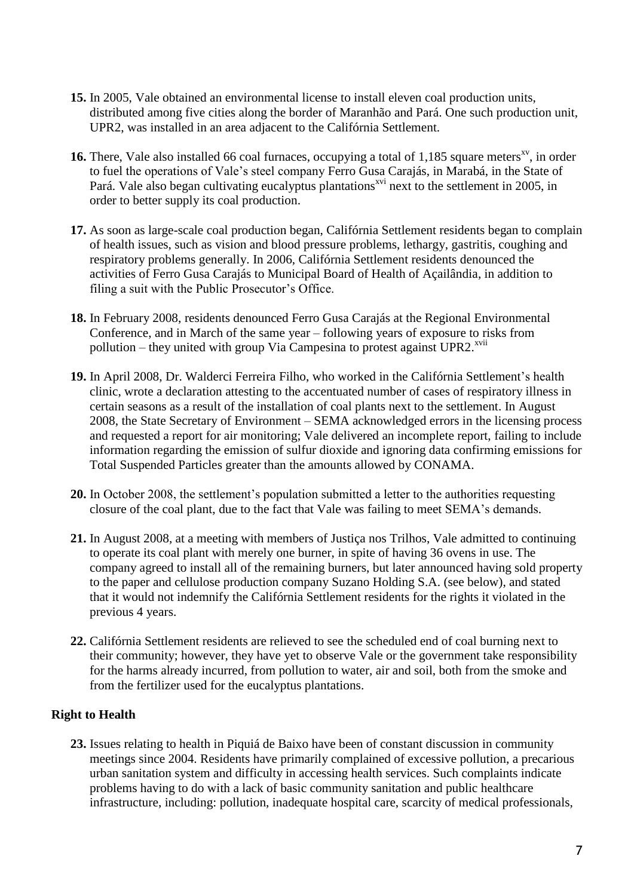- **15.** In 2005, Vale obtained an environmental license to install eleven coal production units, distributed among five cities along the border of Maranhão and Pará. One such production unit, UPR2, was installed in an area adjacent to the Califórnia Settlement.
- 16. There, Vale also installed 66 coal furnaces, occupying a total of 1,185 square meters<sup>xv</sup>, in order to fuel the operations of Vale"s steel company Ferro Gusa Carajás, in Marabá, in the State of Pará. Vale also began cultivating eucalyptus plantations<sup>xvi</sup> next to the settlement in 2005, in order to better supply its coal production.
- **17.** As soon as large-scale coal production began, Califórnia Settlement residents began to complain of health issues, such as vision and blood pressure problems, lethargy, gastritis, coughing and respiratory problems generally. In 2006, Califórnia Settlement residents denounced the activities of Ferro Gusa Carajás to Municipal Board of Health of Açailândia, in addition to filing a suit with the Public Prosecutor's Office.
- **18.** In February 2008, residents denounced Ferro Gusa Carajás at the Regional Environmental Conference, and in March of the same year – following years of exposure to risks from pollution – they united with group Via Campesina to protest against UPR2.<sup>xvii</sup>
- **19.** In April 2008, Dr. Walderci Ferreira Filho, who worked in the Califórnia Settlement"s health clinic, wrote a declaration attesting to the accentuated number of cases of respiratory illness in certain seasons as a result of the installation of coal plants next to the settlement. In August 2008, the State Secretary of Environment – SEMA acknowledged errors in the licensing process and requested a report for air monitoring; Vale delivered an incomplete report, failing to include information regarding the emission of sulfur dioxide and ignoring data confirming emissions for Total Suspended Particles greater than the amounts allowed by CONAMA.
- 20. In October 2008, the settlement's population submitted a letter to the authorities requesting closure of the coal plant, due to the fact that Vale was failing to meet SEMA"s demands.
- **21.** In August 2008, at a meeting with members of Justiça nos Trilhos, Vale admitted to continuing to operate its coal plant with merely one burner, in spite of having 36 ovens in use. The company agreed to install all of the remaining burners, but later announced having sold property to the paper and cellulose production company Suzano Holding S.A. (see below), and stated that it would not indemnify the Califórnia Settlement residents for the rights it violated in the previous 4 years.
- **22.** Califórnia Settlement residents are relieved to see the scheduled end of coal burning next to their community; however, they have yet to observe Vale or the government take responsibility for the harms already incurred, from pollution to water, air and soil, both from the smoke and from the fertilizer used for the eucalyptus plantations.

# **Right to Health**

**23.** Issues relating to health in Piquiá de Baixo have been of constant discussion in community meetings since 2004. Residents have primarily complained of excessive pollution, a precarious urban sanitation system and difficulty in accessing health services. Such complaints indicate problems having to do with a lack of basic community sanitation and public healthcare infrastructure, including: pollution, inadequate hospital care, scarcity of medical professionals,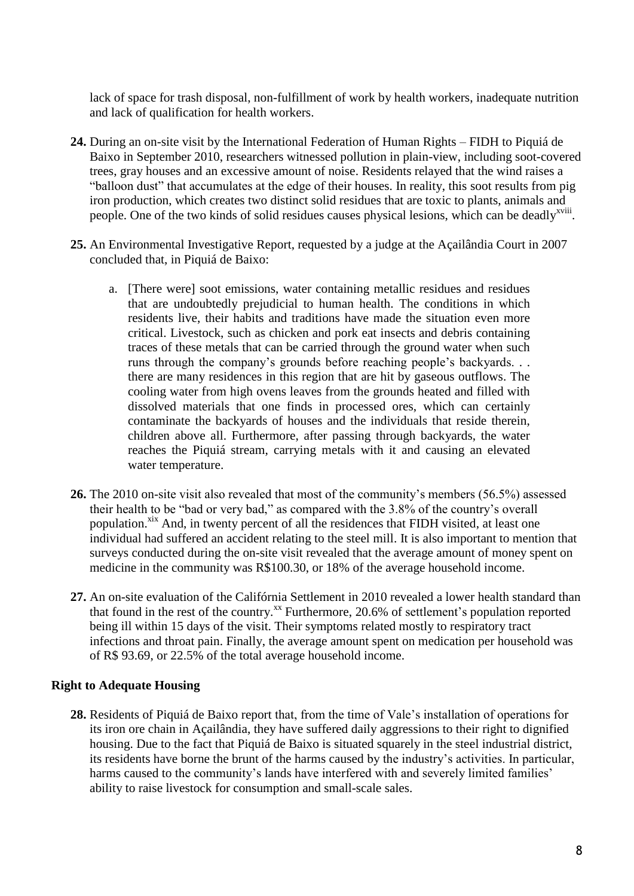lack of space for trash disposal, non-fulfillment of work by health workers, inadequate nutrition and lack of qualification for health workers.

- **24.** During an on-site visit by the International Federation of Human Rights FIDH to Piquiá de Baixo in September 2010, researchers witnessed pollution in plain-view, including soot-covered trees, gray houses and an excessive amount of noise. Residents relayed that the wind raises a "balloon dust" that accumulates at the edge of their houses. In reality, this soot results from pig iron production, which creates two distinct solid residues that are toxic to plants, animals and people. One of the two kinds of solid residues causes physical lesions, which can be deadly<sup>xviii</sup>.
- **25.** An Environmental Investigative Report, requested by a judge at the Açailândia Court in 2007 concluded that, in Piquiá de Baixo:
	- a. [There were] soot emissions, water containing metallic residues and residues that are undoubtedly prejudicial to human health. The conditions in which residents live, their habits and traditions have made the situation even more critical. Livestock, such as chicken and pork eat insects and debris containing traces of these metals that can be carried through the ground water when such runs through the company's grounds before reaching people's backyards. . . there are many residences in this region that are hit by gaseous outflows. The cooling water from high ovens leaves from the grounds heated and filled with dissolved materials that one finds in processed ores, which can certainly contaminate the backyards of houses and the individuals that reside therein, children above all. Furthermore, after passing through backyards, the water reaches the Piquiá stream, carrying metals with it and causing an elevated water temperature.
- 26. The 2010 on-site visit also revealed that most of the community's members (56.5%) assessed their health to be "bad or very bad," as compared with the 3.8% of the country"s overall population.<sup>xix</sup> And, in twenty percent of all the residences that FIDH visited, at least one individual had suffered an accident relating to the steel mill. It is also important to mention that surveys conducted during the on-site visit revealed that the average amount of money spent on medicine in the community was R\$100.30, or 18% of the average household income.
- **27.** An on-site evaluation of the Califórnia Settlement in 2010 revealed a lower health standard than that found in the rest of the country. $^{xx}$  Furthermore, 20.6% of settlement's population reported being ill within 15 days of the visit. Their symptoms related mostly to respiratory tract infections and throat pain. Finally, the average amount spent on medication per household was of R\$ 93.69, or 22.5% of the total average household income.

# **Right to Adequate Housing**

28. Residents of Piquiá de Baixo report that, from the time of Vale's installation of operations for its iron ore chain in Açailândia, they have suffered daily aggressions to their right to dignified housing. Due to the fact that Piquiá de Baixo is situated squarely in the steel industrial district, its residents have borne the brunt of the harms caused by the industry"s activities. In particular, harms caused to the community's lands have interfered with and severely limited families' ability to raise livestock for consumption and small-scale sales.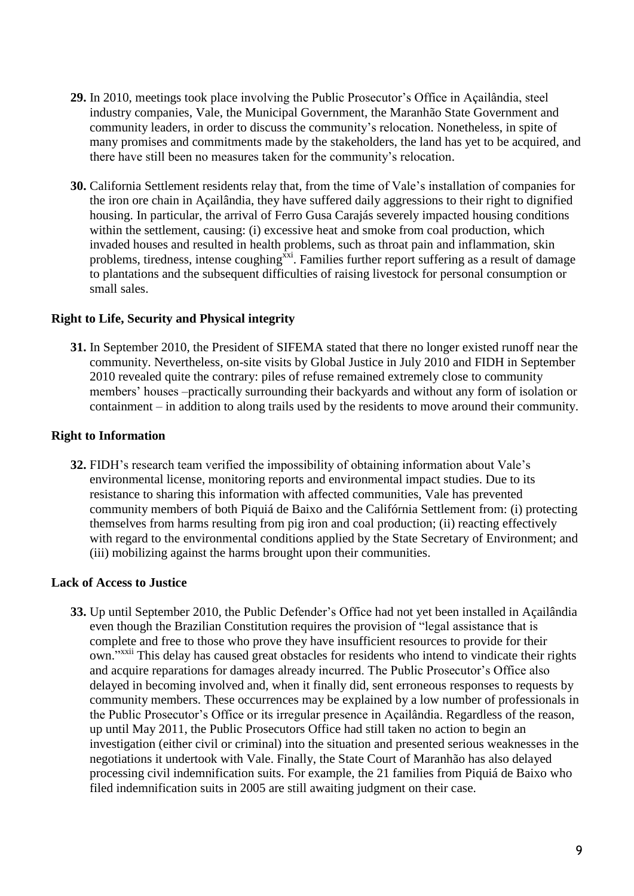- **29.** In 2010, meetings took place involving the Public Prosecutor"s Office in Açailândia, steel industry companies, Vale, the Municipal Government, the Maranhão State Government and community leaders, in order to discuss the community"s relocation. Nonetheless, in spite of many promises and commitments made by the stakeholders, the land has yet to be acquired, and there have still been no measures taken for the community"s relocation.
- **30.** California Settlement residents relay that, from the time of Vale"s installation of companies for the iron ore chain in Açailândia, they have suffered daily aggressions to their right to dignified housing. In particular, the arrival of Ferro Gusa Carajás severely impacted housing conditions within the settlement, causing: (i) excessive heat and smoke from coal production, which invaded houses and resulted in health problems, such as throat pain and inflammation, skin problems, tiredness, intense coughing<sup>xxi</sup>. Families further report suffering as a result of damage to plantations and the subsequent difficulties of raising livestock for personal consumption or small sales.

#### **Right to Life, Security and Physical integrity**

**31.** In September 2010, the President of SIFEMA stated that there no longer existed runoff near the community. Nevertheless, on-site visits by Global Justice in July 2010 and FIDH in September 2010 revealed quite the contrary: piles of refuse remained extremely close to community members' houses –practically surrounding their backyards and without any form of isolation or containment – in addition to along trails used by the residents to move around their community.

# **Right to Information**

**32.** FIDH"s research team verified the impossibility of obtaining information about Vale"s environmental license, monitoring reports and environmental impact studies. Due to its resistance to sharing this information with affected communities, Vale has prevented community members of both Piquiá de Baixo and the Califórnia Settlement from: (i) protecting themselves from harms resulting from pig iron and coal production; (ii) reacting effectively with regard to the environmental conditions applied by the State Secretary of Environment; and (iii) mobilizing against the harms brought upon their communities.

#### **Lack of Access to Justice**

**33.** Up until September 2010, the Public Defender"s Office had not yet been installed in Açailândia even though the Brazilian Constitution requires the provision of "legal assistance that is complete and free to those who prove they have insufficient resources to provide for their own."<sup>xxii</sup> This delay has caused great obstacles for residents who intend to vindicate their rights and acquire reparations for damages already incurred. The Public Prosecutor's Office also delayed in becoming involved and, when it finally did, sent erroneous responses to requests by community members. These occurrences may be explained by a low number of professionals in the Public Prosecutor"s Office or its irregular presence in Açailândia. Regardless of the reason, up until May 2011, the Public Prosecutors Office had still taken no action to begin an investigation (either civil or criminal) into the situation and presented serious weaknesses in the negotiations it undertook with Vale. Finally, the State Court of Maranhão has also delayed processing civil indemnification suits. For example, the 21 families from Piquiá de Baixo who filed indemnification suits in 2005 are still awaiting judgment on their case.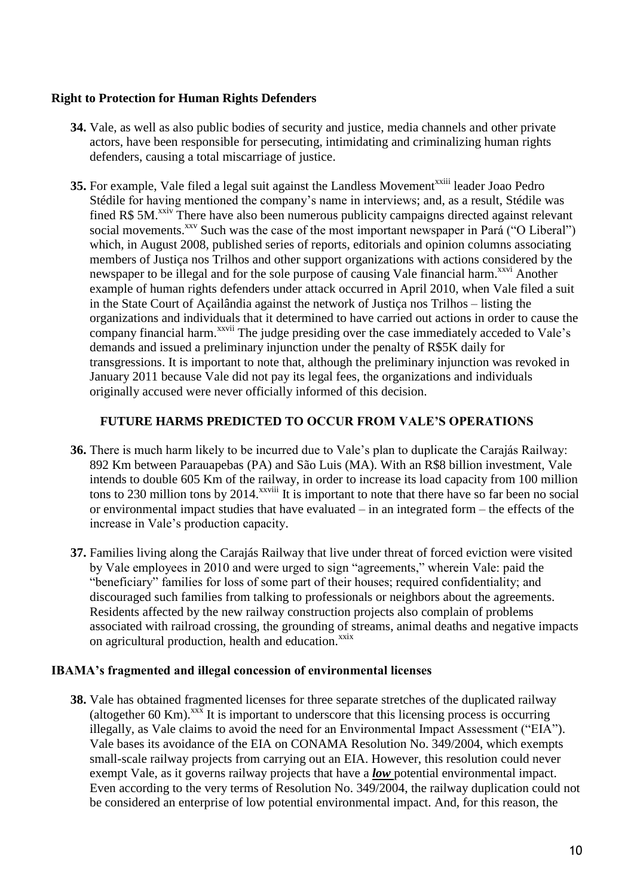# **Right to Protection for Human Rights Defenders**

- **34.** Vale, as well as also public bodies of security and justice, media channels and other private actors, have been responsible for persecuting, intimidating and criminalizing human rights defenders, causing a total miscarriage of justice.
- **35.** For example, Vale filed a legal suit against the Landless Movement<sup>xxiii</sup> leader Joao Pedro Stédile for having mentioned the company"s name in interviews; and, as a result, Stédile was fined R\$ 5M.<sup>xxiv</sup> There have also been numerous publicity campaigns directed against relevant social movements.<sup>xxv</sup> Such was the case of the most important newspaper in Pará ("O Liberal") which, in August 2008, published series of reports, editorials and opinion columns associating members of Justiça nos Trilhos and other support organizations with actions considered by the newspaper to be illegal and for the sole purpose of causing Vale financial harm.<sup>xxvi</sup> Another example of human rights defenders under attack occurred in April 2010, when Vale filed a suit in the State Court of Açailândia against the network of Justiça nos Trilhos – listing the organizations and individuals that it determined to have carried out actions in order to cause the company financial harm.<sup>xxvii</sup> The judge presiding over the case immediately acceded to Vale's demands and issued a preliminary injunction under the penalty of R\$5K daily for transgressions. It is important to note that, although the preliminary injunction was revoked in January 2011 because Vale did not pay its legal fees, the organizations and individuals originally accused were never officially informed of this decision.

# **FUTURE HARMS PREDICTED TO OCCUR FROM VALE'S OPERATIONS**

- **36.** There is much harm likely to be incurred due to Vale"s plan to duplicate the Carajás Railway: 892 Km between Parauapebas (PA) and São Luis (MA). With an R\$8 billion investment, Vale intends to double 605 Km of the railway, in order to increase its load capacity from 100 million tons to 230 million tons by 2014.<sup>xxviii</sup> It is important to note that there have so far been no social or environmental impact studies that have evaluated – in an integrated form – the effects of the increase in Vale"s production capacity.
- **37.** Families living along the Carajás Railway that live under threat of forced eviction were visited by Vale employees in 2010 and were urged to sign "agreements," wherein Vale: paid the "beneficiary" families for loss of some part of their houses; required confidentiality; and discouraged such families from talking to professionals or neighbors about the agreements. Residents affected by the new railway construction projects also complain of problems associated with railroad crossing, the grounding of streams, animal deaths and negative impacts on agricultural production, health and education.<sup>xxix</sup>

#### **IBAMA's fragmented and illegal concession of environmental licenses**

**38.** Vale has obtained fragmented licenses for three separate stretches of the duplicated railway (altogether 60 Km). $\frac{xx}{x}$  It is important to underscore that this licensing process is occurring illegally, as Vale claims to avoid the need for an Environmental Impact Assessment ("EIA"). Vale bases its avoidance of the EIA on CONAMA Resolution No. 349/2004, which exempts small-scale railway projects from carrying out an EIA. However, this resolution could never exempt Vale, as it governs railway projects that have a *low* potential environmental impact. Even according to the very terms of Resolution No. 349/2004, the railway duplication could not be considered an enterprise of low potential environmental impact. And, for this reason, the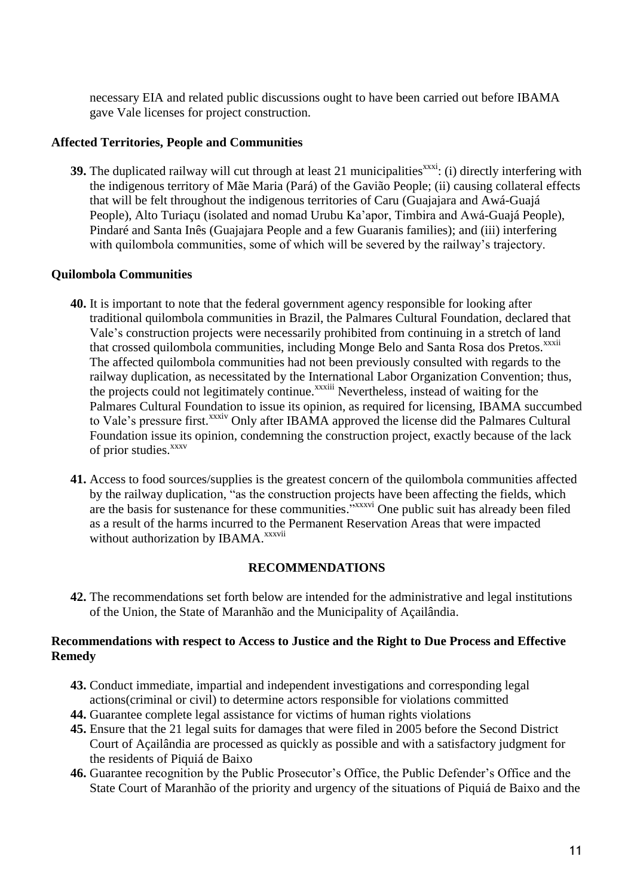necessary EIA and related public discussions ought to have been carried out before IBAMA gave Vale licenses for project construction.

#### **Affected Territories, People and Communities**

**39.** The duplicated railway will cut through at least 21 municipalities<sup>xxxi</sup>: (i) directly interfering with the indigenous territory of Mãe Maria (Pará) of the Gavião People; (ii) causing collateral effects that will be felt throughout the indigenous territories of Caru (Guajajara and Awá-Guajá People), Alto Turiaçu (isolated and nomad Urubu Ka"apor, Timbira and Awá-Guajá People), Pindaré and Santa Inês (Guajajara People and a few Guaranis families); and (iii) interfering with quilombola communities, some of which will be severed by the railway's trajectory.

# **Quilombola Communities**

- **40.** It is important to note that the federal government agency responsible for looking after traditional quilombola communities in Brazil, the Palmares Cultural Foundation, declared that Vale"s construction projects were necessarily prohibited from continuing in a stretch of land that crossed quilombola communities, including Monge Belo and Santa Rosa dos Pretos.<sup>xxxii</sup> The affected quilombola communities had not been previously consulted with regards to the railway duplication, as necessitated by the International Labor Organization Convention; thus, the projects could not legitimately continue.<sup>xxxiii</sup> Nevertheless, instead of waiting for the Palmares Cultural Foundation to issue its opinion, as required for licensing, IBAMA succumbed to Vale's pressure first.<sup>xxxiv</sup> Only after IBAMA approved the license did the Palmares Cultural Foundation issue its opinion, condemning the construction project, exactly because of the lack of prior studies.<sup>xxxv</sup>
- **41.** Access to food sources/supplies is the greatest concern of the quilombola communities affected by the railway duplication, "as the construction projects have been affecting the fields, which are the basis for sustenance for these communities." XXXVI One public suit has already been filed as a result of the harms incurred to the Permanent Reservation Areas that were impacted without authorization by IBAMA.<sup>xxxvii</sup>

#### **RECOMMENDATIONS**

**42.** The recommendations set forth below are intended for the administrative and legal institutions of the Union, the State of Maranhão and the Municipality of Açailândia.

#### **Recommendations with respect to Access to Justice and the Right to Due Process and Effective Remedy**

- **43.** Conduct immediate, impartial and independent investigations and corresponding legal actions(criminal or civil) to determine actors responsible for violations committed
- **44.** Guarantee complete legal assistance for victims of human rights violations
- **45.** Ensure that the 21 legal suits for damages that were filed in 2005 before the Second District Court of Açailândia are processed as quickly as possible and with a satisfactory judgment for the residents of Piquiá de Baixo
- **46.** Guarantee recognition by the Public Prosecutor"s Office, the Public Defender"s Office and the State Court of Maranhão of the priority and urgency of the situations of Piquiá de Baixo and the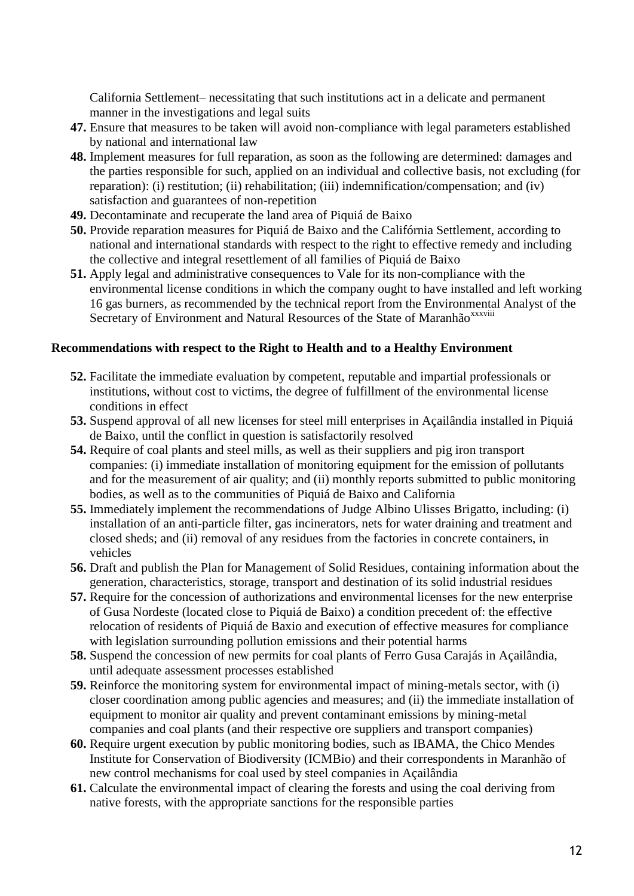California Settlement– necessitating that such institutions act in a delicate and permanent manner in the investigations and legal suits

- **47.** Ensure that measures to be taken will avoid non-compliance with legal parameters established by national and international law
- **48.** Implement measures for full reparation, as soon as the following are determined: damages and the parties responsible for such, applied on an individual and collective basis, not excluding (for reparation): (i) restitution; (ii) rehabilitation; (iii) indemnification/compensation; and (iv) satisfaction and guarantees of non-repetition
- **49.** Decontaminate and recuperate the land area of Piquiá de Baixo
- **50.** Provide reparation measures for Piquiá de Baixo and the Califórnia Settlement, according to national and international standards with respect to the right to effective remedy and including the collective and integral resettlement of all families of Piquiá de Baixo
- **51.** Apply legal and administrative consequences to Vale for its non-compliance with the environmental license conditions in which the company ought to have installed and left working 16 gas burners, as recommended by the technical report from the Environmental Analyst of the Secretary of Environment and Natural Resources of the State of Maranhão<sup>xxxviii</sup>

# **Recommendations with respect to the Right to Health and to a Healthy Environment**

- **52.** Facilitate the immediate evaluation by competent, reputable and impartial professionals or institutions, without cost to victims, the degree of fulfillment of the environmental license conditions in effect
- **53.** Suspend approval of all new licenses for steel mill enterprises in Açailândia installed in Piquiá de Baixo, until the conflict in question is satisfactorily resolved
- **54.** Require of coal plants and steel mills, as well as their suppliers and pig iron transport companies: (i) immediate installation of monitoring equipment for the emission of pollutants and for the measurement of air quality; and (ii) monthly reports submitted to public monitoring bodies, as well as to the communities of Piquiá de Baixo and California
- **55.** Immediately implement the recommendations of Judge Albino Ulisses Brigatto, including: (i) installation of an anti-particle filter, gas incinerators, nets for water draining and treatment and closed sheds; and (ii) removal of any residues from the factories in concrete containers, in vehicles
- **56.** Draft and publish the Plan for Management of Solid Residues, containing information about the generation, characteristics, storage, transport and destination of its solid industrial residues
- **57.** Require for the concession of authorizations and environmental licenses for the new enterprise of Gusa Nordeste (located close to Piquiá de Baixo) a condition precedent of: the effective relocation of residents of Piquiá de Baxio and execution of effective measures for compliance with legislation surrounding pollution emissions and their potential harms
- **58.** Suspend the concession of new permits for coal plants of Ferro Gusa Carajás in Açailândia, until adequate assessment processes established
- **59.** Reinforce the monitoring system for environmental impact of mining-metals sector, with (i) closer coordination among public agencies and measures; and (ii) the immediate installation of equipment to monitor air quality and prevent contaminant emissions by mining-metal companies and coal plants (and their respective ore suppliers and transport companies)
- **60.** Require urgent execution by public monitoring bodies, such as IBAMA, the Chico Mendes Institute for Conservation of Biodiversity (ICMBio) and their correspondents in Maranhão of new control mechanisms for coal used by steel companies in Açailândia
- **61.** Calculate the environmental impact of clearing the forests and using the coal deriving from native forests, with the appropriate sanctions for the responsible parties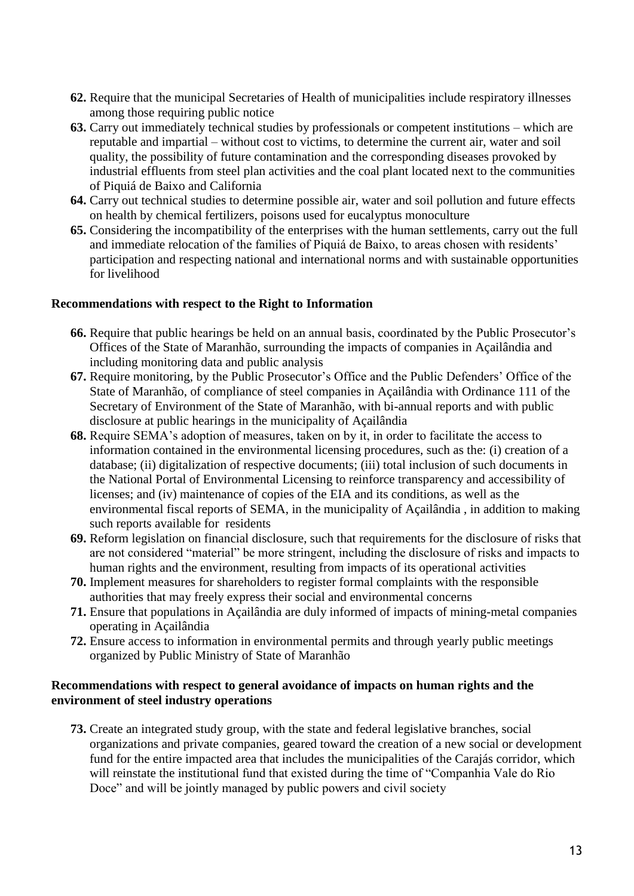- **62.** Require that the municipal Secretaries of Health of municipalities include respiratory illnesses among those requiring public notice
- **63.** Carry out immediately technical studies by professionals or competent institutions which are reputable and impartial – without cost to victims, to determine the current air, water and soil quality, the possibility of future contamination and the corresponding diseases provoked by industrial effluents from steel plan activities and the coal plant located next to the communities of Piquiá de Baixo and California
- **64.** Carry out technical studies to determine possible air, water and soil pollution and future effects on health by chemical fertilizers, poisons used for eucalyptus monoculture
- **65.** Considering the incompatibility of the enterprises with the human settlements, carry out the full and immediate relocation of the families of Piquiá de Baixo, to areas chosen with residents' participation and respecting national and international norms and with sustainable opportunities for livelihood

# **Recommendations with respect to the Right to Information**

- **66.** Require that public hearings be held on an annual basis, coordinated by the Public Prosecutor"s Offices of the State of Maranhão, surrounding the impacts of companies in Açailândia and including monitoring data and public analysis
- **67.** Require monitoring, by the Public Prosecutor's Office and the Public Defenders' Office of the State of Maranhão, of compliance of steel companies in Açailândia with Ordinance 111 of the Secretary of Environment of the State of Maranhão, with bi-annual reports and with public disclosure at public hearings in the municipality of Açailândia
- **68.** Require SEMA"s adoption of measures, taken on by it, in order to facilitate the access to information contained in the environmental licensing procedures, such as the: (i) creation of a database; (ii) digitalization of respective documents; (iii) total inclusion of such documents in the National Portal of Environmental Licensing to reinforce transparency and accessibility of licenses; and (iv) maintenance of copies of the EIA and its conditions, as well as the environmental fiscal reports of SEMA, in the municipality of Açailândia , in addition to making such reports available for residents
- **69.** Reform legislation on financial disclosure, such that requirements for the disclosure of risks that are not considered "material" be more stringent, including the disclosure of risks and impacts to human rights and the environment, resulting from impacts of its operational activities
- **70.** Implement measures for shareholders to register formal complaints with the responsible authorities that may freely express their social and environmental concerns
- **71.** Ensure that populations in Açailândia are duly informed of impacts of mining-metal companies operating in Açailândia
- **72.** Ensure access to information in environmental permits and through yearly public meetings organized by Public Ministry of State of Maranhão

# **Recommendations with respect to general avoidance of impacts on human rights and the environment of steel industry operations**

**73.** Create an integrated study group, with the state and federal legislative branches, social organizations and private companies, geared toward the creation of a new social or development fund for the entire impacted area that includes the municipalities of the Carajás corridor, which will reinstate the institutional fund that existed during the time of "Companhia Vale do Rio Doce" and will be jointly managed by public powers and civil society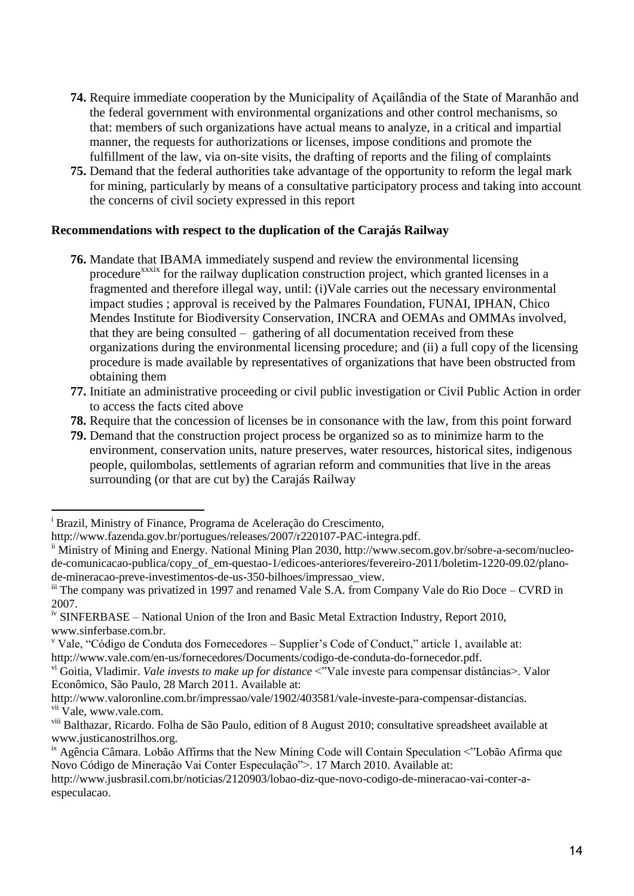- **74.** Require immediate cooperation by the Municipality of Açailândia of the State of Maranhão and the federal government with environmental organizations and other control mechanisms, so that: members of such organizations have actual means to analyze, in a critical and impartial manner, the requests for authorizations or licenses, impose conditions and promote the fulfillment of the law, via on-site visits, the drafting of reports and the filing of complaints
- **75.** Demand that the federal authorities take advantage of the opportunity to reform the legal mark for mining, particularly by means of a consultative participatory process and taking into account the concerns of civil society expressed in this report

# **Recommendations with respect to the duplication of the Carajás Railway**

- **76.** Mandate that IBAMA immediately suspend and review the environmental licensing procedure<sup>xxxix</sup> for the railway duplication construction project, which granted licenses in a fragmented and therefore illegal way, until: (i)Vale carries out the necessary environmental impact studies ; approval is received by the Palmares Foundation, FUNAI, IPHAN, Chico Mendes Institute for Biodiversity Conservation, INCRA and OEMAs and OMMAs involved, that they are being consulted – gathering of all documentation received from these organizations during the environmental licensing procedure; and (ii) a full copy of the licensing procedure is made available by representatives of organizations that have been obstructed from obtaining them
- **77.** Initiate an administrative proceeding or civil public investigation or Civil Public Action in order to access the facts cited above
- **78.** Require that the concession of licenses be in consonance with the law, from this point forward
- **79.** Demand that the construction project process be organized so as to minimize harm to the environment, conservation units, nature preserves, water resources, historical sites, indigenous people, quilombolas, settlements of agrarian reform and communities that live in the areas surrounding (or that are cut by) the Carajás Railway

 $\overline{a}$ 

<sup>i</sup> Brazil, Ministry of Finance, Programa de Aceleração do Crescimento,

http://www.fazenda.gov.br/portugues/releases/2007/r220107-PAC-integra.pdf.

<sup>&</sup>lt;sup>ii</sup> Ministry of Mining and Energy. National Mining Plan 2030, http://www.secom.gov.br/sobre-a-secom/nucleode-comunicacao-publica/copy\_of\_em-questao-1/edicoes-anteriores/fevereiro-2011/boletim-1220-09.02/planode-mineracao-preve-investimentos-de-us-350-bilhoes/impressao\_view.

iii The company was privatized in 1997 and renamed Vale S.A. from Company Vale do Rio Doce – CVRD in 2007.

<sup>&</sup>lt;sup>iv</sup> SINFERBASE – National Union of the Iron and Basic Metal Extraction Industry, Report 2010, www.sinferbase.com.br.

<sup>v</sup> Vale, "Código de Conduta dos Fornecedores – Supplier"s Code of Conduct," article 1, available at: http://www.vale.com/en-us/fornecedores/Documents/codigo-de-conduta-do-fornecedor.pdf.

vi Goitia, Vladimir. *Vale invests to make up for distance* <"Vale investe para compensar distâncias>. Valor Econômico, São Paulo, 28 March 2011. Available at:

http://www.valoronline.com.br/impressao/vale/1902/403581/vale-investe-para-compensar-distancias. vii Vale, www.vale.com.

viii Balthazar, Ricardo. Folha de São Paulo, edition of 8 August 2010; consultative spreadsheet available at www.justicanostrilhos.org.

ix Agência Câmara. Lobão Affirms that the New Mining Code will Contain Speculation <"Lobão Afirma que Novo Código de Mineração Vai Conter Especulação">. 17 March 2010. Available at:

http://www.jusbrasil.com.br/noticias/2120903/lobao-diz-que-novo-codigo-de-mineracao-vai-conter-aespeculacao.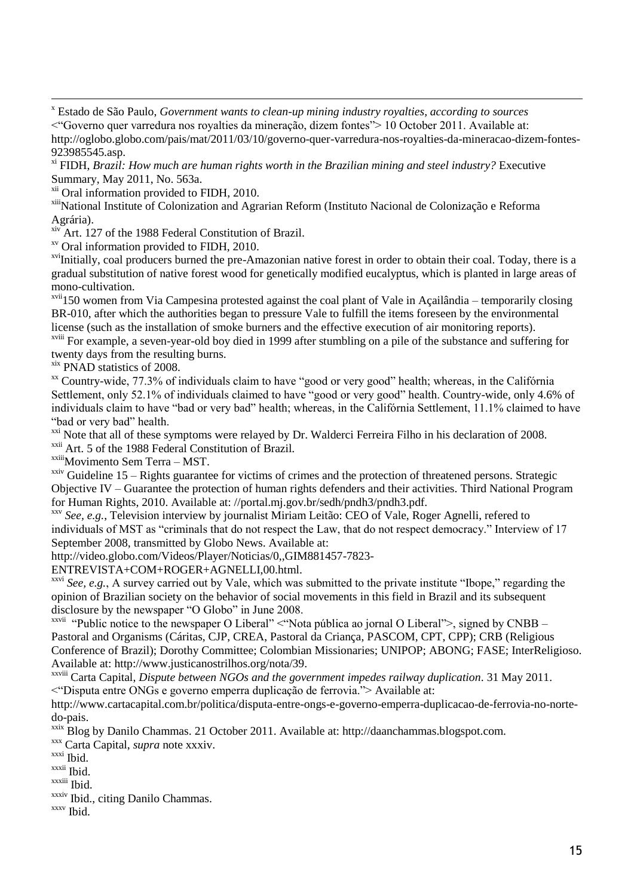http://oglobo.globo.com/pais/mat/2011/03/10/governo-quer-varredura-nos-royalties-da-mineracao-dizem-fontes-923985545.asp.

xi FIDH, *Brazil: How much are human rights worth in the Brazilian mining and steel industry?* Executive Summary, May 2011, No. 563a.

xiv Art. 127 of the 1988 Federal Constitution of Brazil.

xv Oral information provided to FIDH, 2010.

xviInitially, coal producers burned the pre-Amazonian native forest in order to obtain their coal. Today, there is a gradual substitution of native forest wood for genetically modified eucalyptus, which is planted in large areas of mono-cultivation.

xvii150 women from Via Campesina protested against the coal plant of Vale in Açailândia – temporarily closing BR-010, after which the authorities began to pressure Vale to fulfill the items foreseen by the environmental license (such as the installation of smoke burners and the effective execution of air monitoring reports).

xviii For example, a seven-year-old boy died in 1999 after stumbling on a pile of the substance and suffering for twenty days from the resulting burns.

xix PNAD statistics of 2008.

<sup>xx</sup> Country-wide, 77.3% of individuals claim to have "good or very good" health; whereas, in the Califórnia Settlement, only 52.1% of individuals claimed to have "good or very good" health. Country-wide, only 4.6% of individuals claim to have "bad or very bad" health; whereas, in the Califórnia Settlement, 11.1% claimed to have "bad or very bad" health.

<sup>xxi</sup> Note that all of these symptoms were relayed by Dr. Walderci Ferreira Filho in his declaration of 2008.

xxii Art. 5 of the 1988 Federal Constitution of Brazil.

xxiiiMovimento Sem Terra – MST.

 $xxiv$  Guideline 15 – Rights guarantee for victims of crimes and the protection of threatened persons. Strategic Objective IV – Guarantee the protection of human rights defenders and their activities. Third National Program for Human Rights, 2010. Available at: //portal.mj.gov.br/sedh/pndh3/pndh3.pdf.

xxv *See, e.g.*, Television interview by journalist Miriam Leitão: CEO of Vale, Roger Agnelli, refered to individuals of MST as "criminals that do not respect the Law, that do not respect democracy." Interview of 17 September 2008, transmitted by Globo News. Available at:

http://video.globo.com/Videos/Player/Noticias/0,,GIM881457-7823-

ENTREVISTA+COM+ROGER+AGNELLI,00.html.

xxvi *See, e.g.*, A survey carried out by Vale, which was submitted to the private institute "Ibope," regarding the opinion of Brazilian society on the behavior of social movements in this field in Brazil and its subsequent disclosure by the newspaper "O Globo" in June 2008.

xxvii "Public notice to the newspaper O Liberal" <"Nota pública ao jornal O Liberal">, signed by CNBB – Pastoral and Organisms (Cáritas, CJP, CREA, Pastoral da Criança, PASCOM, CPT, CPP); CRB (Religious Conference of Brazil); Dorothy Committee; Colombian Missionaries; UNIPOP; ABONG; FASE; InterReligioso. Available at: http://www.justicanostrilhos.org/nota/39.

xxviii Carta Capital, *Dispute between NGOs and the government impedes railway duplication*. 31 May 2011. <"Disputa entre ONGs e governo emperra duplicação de ferrovia."> Available at:

http://www.cartacapital.com.br/politica/disputa-entre-ongs-e-governo-emperra-duplicacao-de-ferrovia-no-nortedo-pais.

xxix Blog by Danilo Chammas. 21 October 2011. Available at: http://daanchammas.blogspot.com.

xxx Carta Capital, *supra* note xxxiv.

xxxi Ibid.

xxxii Ibid.

xxxiii Ibid.

xxxiv Ibid., citing Danilo Chammas.

xxxv Ibid.

 $\overline{a}$ <sup>x</sup> Estado de São Paulo, *Government wants to clean-up mining industry royalties, according to sources*

<sup>&</sup>lt;"Governo quer varredura nos royalties da mineração, dizem fontes"> 10 October 2011. Available at:

<sup>&</sup>lt;sup>xii</sup> Oral information provided to FIDH, 2010.

xiiiNational Institute of Colonization and Agrarian Reform (Instituto Nacional de Colonização e Reforma Agrária).